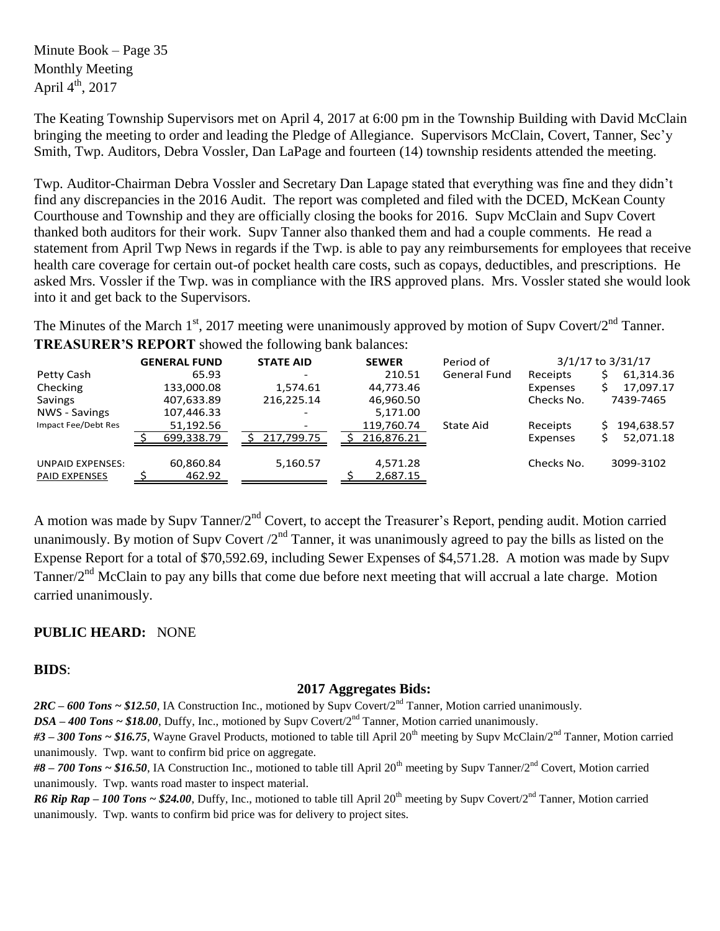Minute Book – Page 35 Monthly Meeting April  $4^{\text{th}}$ , 2017

The Keating Township Supervisors met on April 4, 2017 at 6:00 pm in the Township Building with David McClain bringing the meeting to order and leading the Pledge of Allegiance. Supervisors McClain, Covert, Tanner, Sec'y Smith, Twp. Auditors, Debra Vossler, Dan LaPage and fourteen (14) township residents attended the meeting.

Twp. Auditor-Chairman Debra Vossler and Secretary Dan Lapage stated that everything was fine and they didn't find any discrepancies in the 2016 Audit. The report was completed and filed with the DCED, McKean County Courthouse and Township and they are officially closing the books for 2016. Supv McClain and Supv Covert thanked both auditors for their work. Supv Tanner also thanked them and had a couple comments. He read a statement from April Twp News in regards if the Twp. is able to pay any reimbursements for employees that receive health care coverage for certain out-of pocket health care costs, such as copays, deductibles, and prescriptions. He asked Mrs. Vossler if the Twp. was in compliance with the IRS approved plans. Mrs. Vossler stated she would look into it and get back to the Supervisors.

The Minutes of the March 1<sup>st</sup>, 2017 meeting were unanimously approved by motion of Supv Covert/2<sup>nd</sup> Tanner. **TREASURER'S REPORT** showed the following bank balances:

|                                                 | <b>GENERAL FUND</b> | <b>STATE AID</b>         | <b>SEWER</b>         | Period of           |            | 3/1/17 to 3/31/17 |
|-------------------------------------------------|---------------------|--------------------------|----------------------|---------------------|------------|-------------------|
| Petty Cash                                      | 65.93               |                          | 210.51               | <b>General Fund</b> | Receipts   | 61,314.36         |
| Checking                                        | 133,000.08          | 1,574.61                 | 44,773.46            |                     | Expenses   | 17,097.17         |
| Savings                                         | 407,633.89          | 216,225.14               | 46,960.50            |                     | Checks No. | 7439-7465         |
| NWS - Savings                                   | 107,446.33          | $\overline{\phantom{0}}$ | 5,171.00             |                     |            |                   |
| Impact Fee/Debt Res                             | 51,192.56           |                          | 119,760.74           | State Aid           | Receipts   | 194,638.57<br>S.  |
|                                                 | 699,338.79          | 217,799.75               | 216,876.21           |                     | Expenses   | 52,071.18         |
| <b>UNPAID EXPENSES:</b><br><b>PAID EXPENSES</b> | 60,860.84<br>462.92 | 5,160.57                 | 4,571.28<br>2,687.15 |                     | Checks No. | 3099-3102         |

A motion was made by Supv Tanner/2<sup>nd</sup> Covert, to accept the Treasurer's Report, pending audit. Motion carried unanimously. By motion of Supv Covert  $2<sup>nd</sup>$  Tanner, it was unanimously agreed to pay the bills as listed on the Expense Report for a total of \$70,592.69, including Sewer Expenses of \$4,571.28. A motion was made by Supv Tanner/2<sup>nd</sup> McClain to pay any bills that come due before next meeting that will accrual a late charge. Motion carried unanimously.

# **PUBLIC HEARD:** NONE

#### **BIDS**:

# **2017 Aggregates Bids:**

*2RC – 600 Tons ~ \$12.50*, IA Construction Inc., motioned by Supv Covert/2nd Tanner, Motion carried unanimously.

*DSA – 400 Tons ~ \$18.00*, Duffy, Inc., motioned by Supv Covert/2nd Tanner, Motion carried unanimously.

#3 – 300 Tons ~ \$16.75, Wayne Gravel Products, motioned to table till April 20<sup>th</sup> meeting by Supv McClain/2<sup>nd</sup> Tanner, Motion carried unanimously. Twp. want to confirm bid price on aggregate.

#8 – 700 Tons ~ \$16.50, IA Construction Inc., motioned to table till April 20<sup>th</sup> meeting by Supv Tanner/2<sup>nd</sup> Covert, Motion carried unanimously. Twp. wants road master to inspect material.

*R6 Rip Rap – 100 Tons ~ \$24.00*, Duffy, Inc., motioned to table till April 20<sup>th</sup> meeting by Supv Covert/2<sup>nd</sup> Tanner, Motion carried unanimously. Twp. wants to confirm bid price was for delivery to project sites.